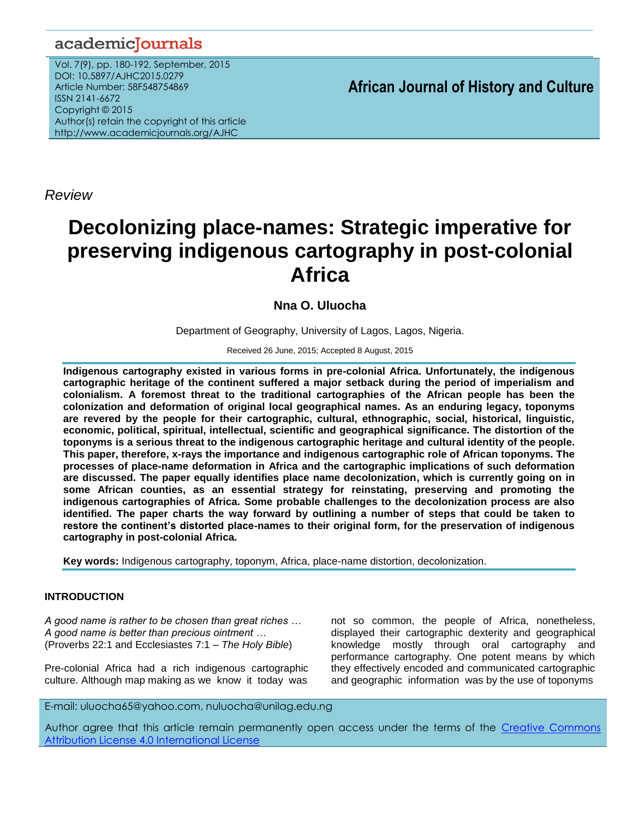# academicJournals

Vol. 7(9), pp. 180-192, September, 2015 DOI: 10.5897/AJHC2015.0279 Article Number: 58F548754869 ISSN 2141-6672 Copyright © 2015 Author(s) retain the copyright of this article http://www.academicjournals.org/AJHC

 **African Journal of History and Culture**

*Review*

# **Decolonizing place-names: Strategic imperative for preserving indigenous cartography in post-colonial Africa**

# **Nna O. Uluocha**

Department of Geography, University of Lagos, Lagos, Nigeria.

Received 26 June, 2015; Accepted 8 August, 2015

**Indigenous cartography existed in various forms in pre-colonial Africa. Unfortunately, the indigenous cartographic heritage of the continent suffered a major setback during the period of imperialism and colonialism. A foremost threat to the traditional cartographies of the African people has been the colonization and deformation of original local geographical names. As an enduring legacy, toponyms are revered by the people for their cartographic, cultural, ethnographic, social, historical, linguistic, economic, political, spiritual, intellectual, scientific and geographical significance. The distortion of the toponyms is a serious threat to the indigenous cartographic heritage and cultural identity of the people. This paper, therefore, x-rays the importance and indigenous cartographic role of African toponyms. The processes of place-name deformation in Africa and the cartographic implications of such deformation are discussed. The paper equally identifies place name decolonization, which is currently going on in some African counties, as an essential strategy for reinstating, preserving and promoting the indigenous cartographies of Africa. Some probable challenges to the decolonization process are also identified. The paper charts the way forward by outlining a number of steps that could be taken to restore the continent's distorted place-names to their original form, for the preservation of indigenous cartography in post-colonial Africa.**

**Key words:** Indigenous cartography, toponym, Africa, place-name distortion, decolonization.

# **INTRODUCTION**

*A good name is rather to be chosen than great riches … A good name is better than precious ointment …* (Proverbs 22:1 and Ecclesiastes 7:1 – *The Holy Bible*)

Pre-colonial Africa had a rich indigenous cartographic culture. Although map making as we know it today was not so common, the people of Africa, nonetheless, displayed their cartographic dexterity and geographical knowledge mostly through oral cartography and performance cartography. One potent means by which they effectively encoded and communicated cartographic and geographic information was by the use of toponyms

E-mail: uluocha65@yahoo.com, nuluocha@unilag.edu.ng

Author agree that this article remain permanently open access under the terms of the Creative Commons [Attribution License 4.0 International License](http://creativecommons.org/licenses/by/4.0/deed.en_US)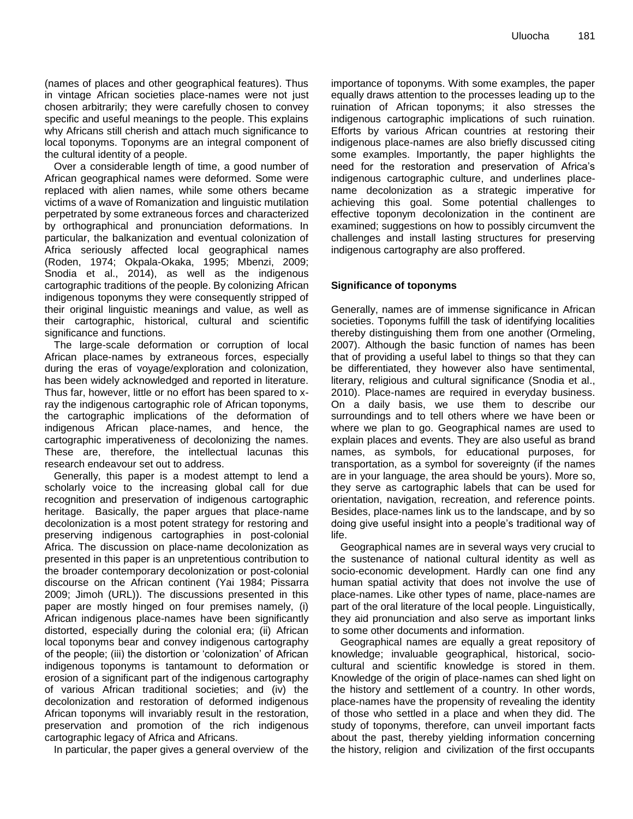(names of places and other geographical features). Thus in vintage African societies place-names were not just chosen arbitrarily; they were carefully chosen to convey specific and useful meanings to the people. This explains why Africans still cherish and attach much significance to local toponyms. Toponyms are an integral component of the cultural identity of a people.

Over a considerable length of time, a good number of African geographical names were deformed. Some were replaced with alien names, while some others became victims of a wave of Romanization and linguistic mutilation perpetrated by some extraneous forces and characterized by orthographical and pronunciation deformations. In particular, the balkanization and eventual colonization of Africa seriously affected local geographical names (Roden, 1974; Okpala-Okaka, 1995; Mbenzi, 2009; Snodia et al., 2014), as well as the indigenous cartographic traditions of the people. By colonizing African indigenous toponyms they were consequently stripped of their original linguistic meanings and value, as well as their cartographic, historical, cultural and scientific significance and functions.

The large-scale deformation or corruption of local African place-names by extraneous forces, especially during the eras of voyage/exploration and colonization, has been widely acknowledged and reported in literature. Thus far, however, little or no effort has been spared to xray the indigenous cartographic role of African toponyms, the cartographic implications of the deformation of indigenous African place-names, and hence, the cartographic imperativeness of decolonizing the names. These are, therefore, the intellectual lacunas this research endeavour set out to address.

Generally, this paper is a modest attempt to lend a scholarly voice to the increasing global call for due recognition and preservation of indigenous cartographic heritage. Basically, the paper argues that place-name decolonization is a most potent strategy for restoring and preserving indigenous cartographies in post-colonial Africa. The discussion on place-name decolonization as presented in this paper is an unpretentious contribution to the broader contemporary decolonization or post-colonial discourse on the African continent (Yai 1984; Pissarra 2009; Jimoh (URL)). The discussions presented in this paper are mostly hinged on four premises namely, (i) African indigenous place-names have been significantly distorted, especially during the colonial era; (ii) African local toponyms bear and convey indigenous cartography of the people; (iii) the distortion or "colonization" of African indigenous toponyms is tantamount to deformation or erosion of a significant part of the indigenous cartography of various African traditional societies; and (iv) the decolonization and restoration of deformed indigenous African toponyms will invariably result in the restoration, preservation and promotion of the rich indigenous cartographic legacy of Africa and Africans.

In particular, the paper gives a general overview of the

importance of toponyms. With some examples, the paper equally draws attention to the processes leading up to the ruination of African toponyms; it also stresses the indigenous cartographic implications of such ruination. Efforts by various African countries at restoring their indigenous place-names are also briefly discussed citing some examples. Importantly, the paper highlights the need for the restoration and preservation of Africa"s indigenous cartographic culture, and underlines placename decolonization as a strategic imperative for achieving this goal. Some potential challenges to effective toponym decolonization in the continent are examined; suggestions on how to possibly circumvent the challenges and install lasting structures for preserving indigenous cartography are also proffered.

#### **Significance of toponyms**

Generally, names are of immense significance in African societies. Toponyms fulfill the task of identifying localities thereby distinguishing them from one another (Ormeling, 2007). Although the basic function of names has been that of providing a useful label to things so that they can be differentiated, they however also have sentimental, literary, religious and cultural significance (Snodia et al., 2010). Place-names are required in everyday business. On a daily basis, we use them to describe our surroundings and to tell others where we have been or where we plan to go. Geographical names are used to explain places and events. They are also useful as brand names, as symbols, for educational purposes, for transportation, as a symbol for sovereignty (if the names are in your language, the area should be yours). More so, they serve as cartographic labels that can be used for orientation, navigation, recreation, and reference points. Besides, place-names link us to the landscape, and by so doing give useful insight into a people"s traditional way of life.

Geographical names are in several ways very crucial to the sustenance of national cultural identity as well as socio-economic development. Hardly can one find any human spatial activity that does not involve the use of place-names. Like other types of name, place-names are part of the oral literature of the local people. Linguistically, they aid pronunciation and also serve as important links to some other documents and information.

Geographical names are equally a great repository of knowledge; invaluable geographical, historical, sociocultural and scientific knowledge is stored in them. Knowledge of the origin of place-names can shed light on the history and settlement of a country. In other words, place-names have the propensity of revealing the identity of those who settled in a place and when they did. The study of toponyms, therefore, can unveil important facts about the past, thereby yielding information concerning the history, religion and civilization of the first occupants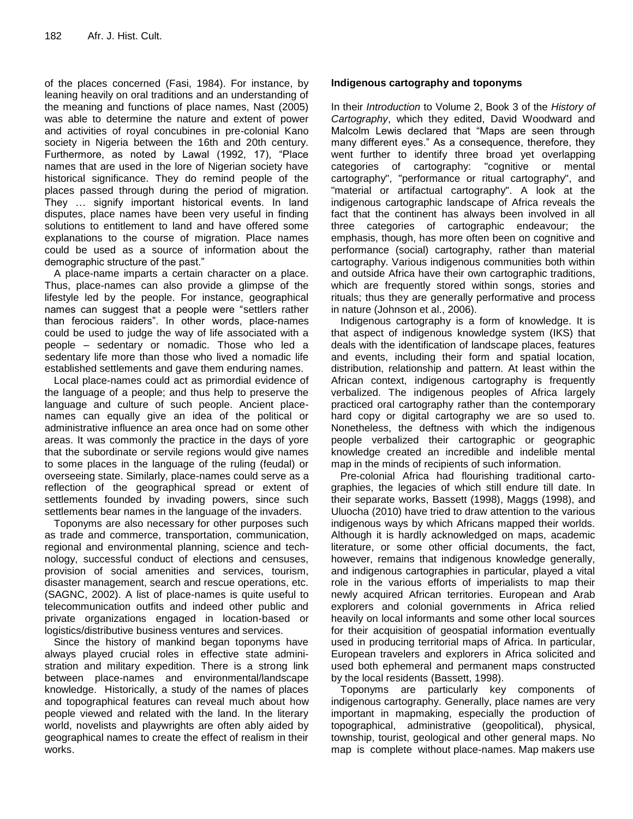of the places concerned (Fasi, 1984). For instance, by leaning heavily on oral traditions and an understanding of the meaning and functions of place names, Nast (2005) was able to determine the nature and extent of power and activities of royal concubines in pre-colonial Kano society in Nigeria between the 16th and 20th century. Furthermore, as noted by Lawal (1992, 17), "Place names that are used in the lore of Nigerian society have historical significance. They do remind people of the places passed through during the period of migration. They … signify important historical events. In land disputes, place names have been very useful in finding solutions to entitlement to land and have offered some explanations to the course of migration. Place names could be used as a source of information about the demographic structure of the past."

A place-name imparts a certain character on a place. Thus, place-names can also provide a glimpse of the lifestyle led by the people. For instance, geographical names can suggest that a people were "settlers rather than ferocious raiders". In other words, place-names could be used to judge the way of life associated with a people – sedentary or nomadic. Those who led a sedentary life more than those who lived a nomadic life established settlements and gave them enduring names.

Local place-names could act as primordial evidence of the language of a people; and thus help to preserve the language and culture of such people. Ancient placenames can equally give an idea of the political or administrative influence an area once had on some other areas. It was commonly the practice in the days of yore that the subordinate or servile regions would give names to some places in the language of the ruling (feudal) or overseeing state. Similarly, place-names could serve as a reflection of the geographical spread or extent of settlements founded by invading powers, since such settlements bear names in the language of the invaders.

Toponyms are also necessary for other purposes such as trade and commerce, transportation, communication, regional and environmental planning, science and technology, successful conduct of elections and censuses, provision of social amenities and services, tourism, disaster management, search and rescue operations, etc. (SAGNC, 2002). A list of place-names is quite useful to telecommunication outfits and indeed other public and private organizations engaged in location-based or logistics/distributive business ventures and services.

Since the history of mankind began toponyms have always played crucial roles in effective state administration and military expedition. There is a strong link between place-names and environmental/landscape knowledge. Historically, a study of the names of places and topographical features can reveal much about how people viewed and related with the land. In the literary world, novelists and playwrights are often ably aided by geographical names to create the effect of realism in their works.

#### **Indigenous cartography and toponyms**

In their *Introduction* to Volume 2, Book 3 of the *History of Cartography*, which they edited, David Woodward and Malcolm Lewis declared that "Maps are seen through many different eyes." As a consequence, therefore, they went further to identify three broad yet overlapping categories of cartography: "cognitive or mental cartography", "performance or ritual cartography", and "material or artifactual cartography". A look at the indigenous cartographic landscape of Africa reveals the fact that the continent has always been involved in all three categories of cartographic endeavour; the emphasis, though, has more often been on cognitive and performance (social) cartography, rather than material cartography. Various indigenous communities both within and outside Africa have their own cartographic traditions, which are frequently stored within songs, stories and rituals; thus they are generally performative and process in nature (Johnson et al., 2006).

Indigenous cartography is a form of knowledge. It is that aspect of indigenous knowledge system (IKS) that deals with the identification of landscape places, features and events, including their form and spatial location, distribution, relationship and pattern. At least within the African context, indigenous cartography is frequently verbalized. The indigenous peoples of Africa largely practiced oral cartography rather than the contemporary hard copy or digital cartography we are so used to. Nonetheless, the deftness with which the indigenous people verbalized their cartographic or geographic knowledge created an incredible and indelible mental map in the minds of recipients of such information.

Pre-colonial Africa had flourishing traditional cartographies, the legacies of which still endure till date. In their separate works, Bassett (1998), Maggs (1998), and Uluocha (2010) have tried to draw attention to the various indigenous ways by which Africans mapped their worlds. Although it is hardly acknowledged on maps, academic literature, or some other official documents, the fact, however, remains that indigenous knowledge generally, and indigenous cartographies in particular, played a vital role in the various efforts of imperialists to map their newly acquired African territories. European and Arab explorers and colonial governments in Africa relied heavily on local informants and some other local sources for their acquisition of geospatial information eventually used in producing territorial maps of Africa. In particular, European travelers and explorers in Africa solicited and used both ephemeral and permanent maps constructed by the local residents (Bassett, 1998).

Toponyms are particularly key components of indigenous cartography. Generally, place names are very important in mapmaking, especially the production of topographical, administrative (geopolitical), physical, township, tourist, geological and other general maps. No map is complete without place-names. Map makers use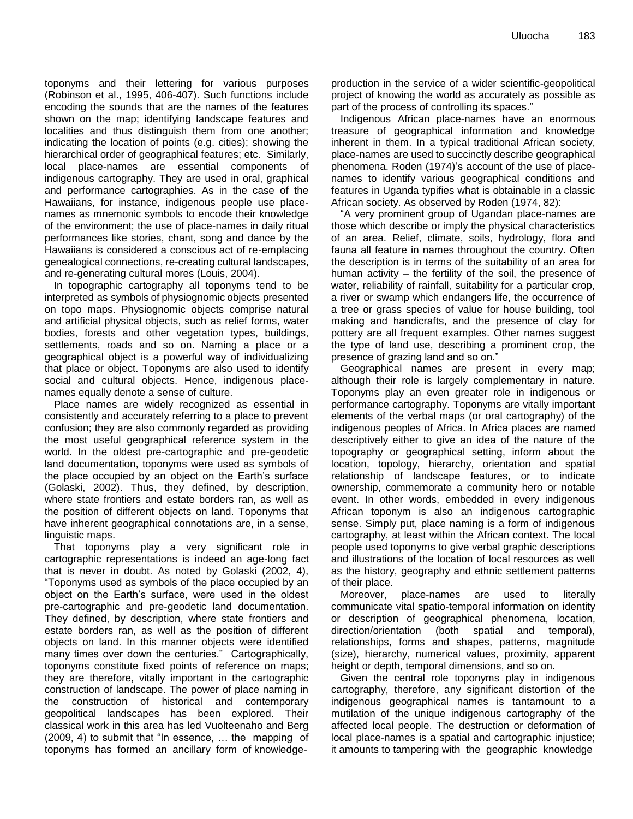toponyms and their lettering for various purposes (Robinson et al., 1995, 406-407). Such functions include encoding the sounds that are the names of the features shown on the map; identifying landscape features and localities and thus distinguish them from one another; indicating the location of points (e.g. cities); showing the hierarchical order of geographical features; etc. Similarly, local place-names are essential components of indigenous cartography. They are used in oral, graphical and performance cartographies. As in the case of the Hawaiians, for instance, indigenous people use placenames as mnemonic symbols to encode their knowledge of the environment; the use of place-names in daily ritual performances like stories, chant, song and dance by the Hawaiians is considered a conscious act of re-emplacing genealogical connections, re-creating cultural landscapes, and re-generating cultural mores (Louis, 2004).

In topographic cartography all toponyms tend to be interpreted as symbols of physiognomic objects presented on topo maps. Physiognomic objects comprise natural and artificial physical objects, such as relief forms, water bodies, forests and other vegetation types, buildings, settlements, roads and so on. Naming a place or a geographical object is a powerful way of individualizing that place or object. Toponyms are also used to identify social and cultural objects. Hence, indigenous placenames equally denote a sense of culture.

Place names are widely recognized as essential in consistently and accurately referring to a place to prevent confusion; they are also commonly regarded as providing the most useful geographical reference system in the world. In the oldest pre-cartographic and pre-geodetic land documentation, toponyms were used as symbols of the place occupied by an object on the Earth's surface (Golaski, 2002). Thus, they defined, by description, where state frontiers and estate borders ran, as well as the position of different objects on land. Toponyms that have inherent geographical connotations are, in a sense, linguistic maps.

That toponyms play a very significant role in cartographic representations is indeed an age-long fact that is never in doubt. As noted by Golaski (2002, 4), "Toponyms used as symbols of the place occupied by an object on the Earth"s surface, were used in the oldest pre-cartographic and pre-geodetic land documentation. They defined, by description, where state frontiers and estate borders ran, as well as the position of different objects on land. In this manner objects were identified many times over down the centuries." Cartographically, toponyms constitute fixed points of reference on maps; they are therefore, vitally important in the cartographic construction of landscape. The power of place naming in the construction of historical and contemporary geopolitical landscapes has been explored. Their classical work in this area has led Vuolteenaho and Berg (2009, 4) to submit that "In essence, … the mapping of toponyms has formed an ancillary form of knowledge-

production in the service of a wider scientific-geopolitical project of knowing the world as accurately as possible as part of the process of controlling its spaces."

Indigenous African place-names have an enormous treasure of geographical information and knowledge inherent in them. In a typical traditional African society, place-names are used to succinctly describe geographical phenomena. Roden (1974)'s account of the use of placenames to identify various geographical conditions and features in Uganda typifies what is obtainable in a classic African society. As observed by Roden (1974, 82):

"A very prominent group of Ugandan place-names are those which describe or imply the physical characteristics of an area. Relief, climate, soils, hydrology, flora and fauna all feature in names throughout the country. Often the description is in terms of the suitability of an area for human activity – the fertility of the soil, the presence of water, reliability of rainfall, suitability for a particular crop, a river or swamp which endangers life, the occurrence of a tree or grass species of value for house building, tool making and handicrafts, and the presence of clay for pottery are all frequent examples. Other names suggest the type of land use, describing a prominent crop, the presence of grazing land and so on."

Geographical names are present in every map; although their role is largely complementary in nature. Toponyms play an even greater role in indigenous or performance cartography. Toponyms are vitally important elements of the verbal maps (or oral cartography) of the indigenous peoples of Africa. In Africa places are named descriptively either to give an idea of the nature of the topography or geographical setting, inform about the location, topology, hierarchy, orientation and spatial relationship of landscape features, or to indicate ownership, commemorate a community hero or notable event. In other words, embedded in every indigenous African toponym is also an indigenous cartographic sense. Simply put, place naming is a form of indigenous cartography, at least within the African context. The local people used toponyms to give verbal graphic descriptions and illustrations of the location of local resources as well as the history, geography and ethnic settlement patterns of their place.

Moreover, place-names are used to literally communicate vital spatio-temporal information on identity or description of geographical phenomena, location, direction/orientation (both spatial and temporal), relationships, forms and shapes, patterns, magnitude (size), hierarchy, numerical values, proximity, apparent height or depth, temporal dimensions, and so on.

Given the central role toponyms play in indigenous cartography, therefore, any significant distortion of the indigenous geographical names is tantamount to a mutilation of the unique indigenous cartography of the affected local people. The destruction or deformation of local place-names is a spatial and cartographic injustice; it amounts to tampering with the geographic knowledge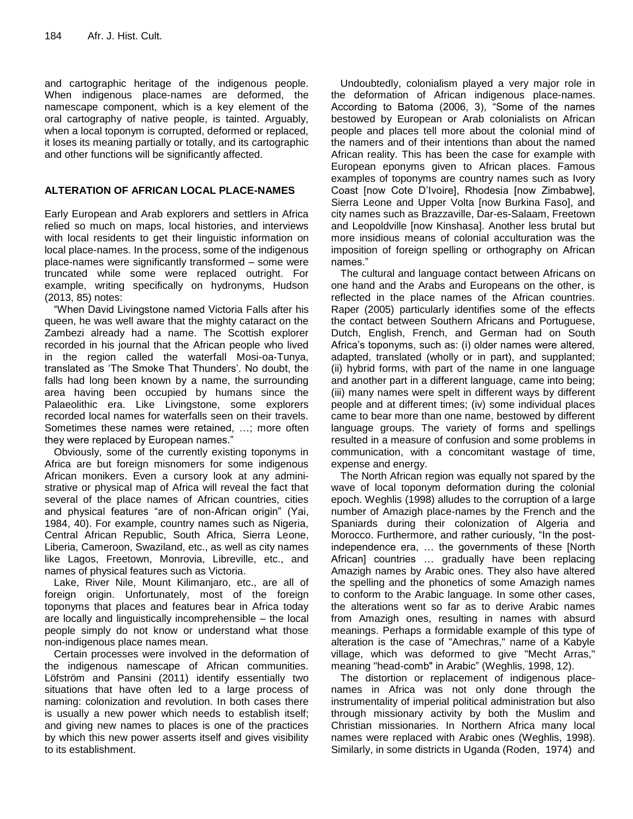and cartographic heritage of the indigenous people. When indigenous place-names are deformed, the namescape component, which is a key element of the oral cartography of native people, is tainted. Arguably, when a local toponym is corrupted, deformed or replaced, it loses its meaning partially or totally, and its cartographic and other functions will be significantly affected.

## **ALTERATION OF AFRICAN LOCAL PLACE-NAMES**

Early European and Arab explorers and settlers in Africa relied so much on maps, local histories, and interviews with local residents to get their linguistic information on local place-names. In the process, some of the indigenous place-names were significantly transformed – some were truncated while some were replaced outright. For example, writing specifically on hydronyms, Hudson (2013, 85) notes:

"When David Livingstone named Victoria Falls after his queen, he was well aware that the mighty cataract on the Zambezi already had a name. The Scottish explorer recorded in his journal that the African people who lived in the region called the waterfall Mosi-oa-Tunya, translated as "The Smoke That Thunders". No doubt, the falls had long been known by a name, the surrounding area having been occupied by humans since the Palaeolithic era. Like Livingstone, some explorers recorded local names for waterfalls seen on their travels. Sometimes these names were retained, …; more often they were replaced by European names."

Obviously, some of the currently existing toponyms in Africa are but foreign misnomers for some indigenous African monikers. Even a cursory look at any administrative or physical map of Africa will reveal the fact that several of the place names of African countries, cities and physical features "are of non-African origin" (Yai, 1984, 40). For example, country names such as Nigeria, Central African Republic, South Africa, Sierra Leone, Liberia, Cameroon, Swaziland, etc., as well as city names like Lagos, Freetown, Monrovia, Libreville, etc., and names of physical features such as Victoria.

Lake, River Nile, Mount Kilimanjaro, etc., are all of foreign origin. Unfortunately, most of the foreign toponyms that places and features bear in Africa today are locally and linguistically incomprehensible – the local people simply do not know or understand what those non-indigenous place names mean.

Certain processes were involved in the deformation of the indigenous namescape of African communities. Löfström and Pansini (2011) identify essentially two situations that have often led to a large process of naming: colonization and revolution. In both cases there is usually a new power which needs to establish itself; and giving new names to places is one of the practices by which this new power asserts itself and gives visibility to its establishment.

Undoubtedly, colonialism played a very major role in the deformation of African indigenous place-names. According to Batoma (2006, 3), "Some of the names bestowed by European or Arab colonialists on African people and places tell more about the colonial mind of the namers and of their intentions than about the named African reality. This has been the case for example with European eponyms given to African places. Famous examples of toponyms are country names such as Ivory Coast [now Cote D"Ivoire], Rhodesia [now Zimbabwe], Sierra Leone and Upper Volta [now Burkina Faso], and city names such as Brazzaville, Dar-es-Salaam, Freetown and Leopoldville [now Kinshasa]. Another less brutal but more insidious means of colonial acculturation was the imposition of foreign spelling or orthography on African names."

The cultural and language contact between Africans on one hand and the Arabs and Europeans on the other, is reflected in the place names of the African countries. Raper (2005) particularly identifies some of the effects the contact between Southern Africans and Portuguese, Dutch, English, French, and German had on South Africa"s toponyms, such as: (i) older names were altered, adapted, translated (wholly or in part), and supplanted; (ii) hybrid forms, with part of the name in one language and another part in a different language, came into being; (iii) many names were spelt in different ways by different people and at different times; (iv) some individual places came to bear more than one name, bestowed by different language groups. The variety of forms and spellings resulted in a measure of confusion and some problems in communication, with a concomitant wastage of time, expense and energy.

The North African region was equally not spared by the wave of local toponym deformation during the colonial epoch. Weghlis (1998) alludes to the corruption of a large number of Amazigh place-names by the French and the Spaniards during their colonization of Algeria and Morocco. Furthermore, and rather curiously, "In the postindependence era, … the governments of these [North African] countries … gradually have been replacing Amazigh names by Arabic ones. They also have altered the spelling and the phonetics of some Amazigh names to conform to the Arabic language. In some other cases, the alterations went so far as to derive Arabic names from Amazigh ones, resulting in names with absurd meanings. Perhaps a formidable example of this type of alteration is the case of "Amechras," name of a Kabyle village, which was deformed to give "Mecht Arras," meaning "head-comb" in Arabic" (Weghlis, 1998, 12).

The distortion or replacement of indigenous placenames in Africa was not only done through the instrumentality of imperial political administration but also through missionary activity by both the Muslim and Christian missionaries. In Northern Africa many local names were replaced with Arabic ones (Weghlis, 1998). Similarly, in some districts in Uganda (Roden, 1974) and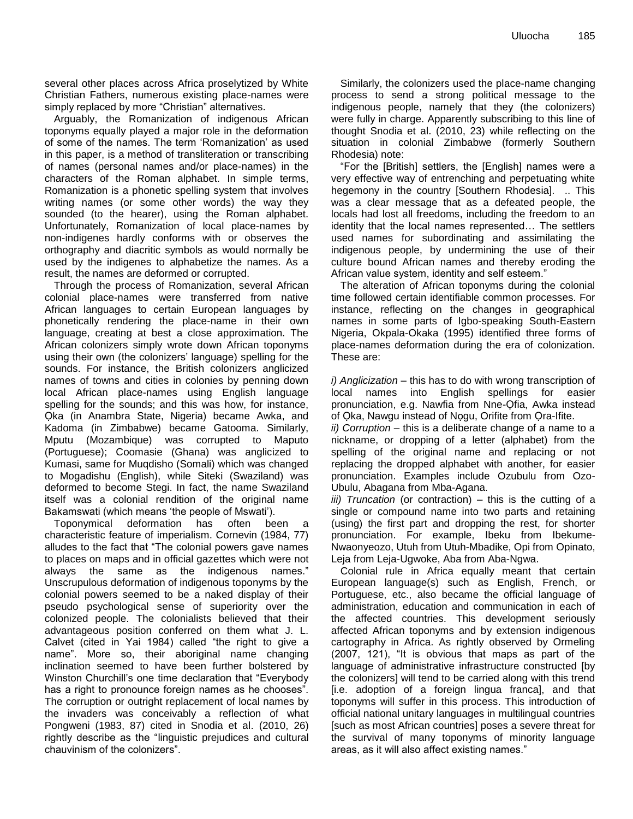several other places across Africa proselytized by White Christian Fathers, numerous existing place-names were simply replaced by more "Christian" alternatives.

Arguably, the Romanization of indigenous African toponyms equally played a major role in the deformation of some of the names. The term "Romanization" as used in this paper, is a method of transliteration or transcribing of names (personal names and/or place-names) in the characters of the Roman alphabet. In simple terms, Romanization is a phonetic spelling system that involves writing names (or some other words) the way they sounded (to the hearer), using the Roman alphabet. Unfortunately, Romanization of local place-names by non-indigenes hardly conforms with or observes the orthography and diacritic symbols as would normally be used by the indigenes to alphabetize the names. As a result, the names are deformed or corrupted.

Through the process of Romanization, several African colonial place-names were transferred from native African languages to certain European languages by phonetically rendering the place-name in their own language, creating at best a close approximation. The African colonizers simply wrote down African toponyms using their own (the colonizers" language) spelling for the sounds. For instance, the British colonizers anglicized names of towns and cities in colonies by penning down local African place-names using English language spelling for the sounds; and this was how, for instance, Ọka (in Anambra State, Nigeria) became Awka, and Kadoma (in Zimbabwe) became Gatooma. Similarly, Mputu (Mozambique) was corrupted to Maputo (Portuguese); Coomasie (Ghana) was anglicized to Kumasi, same for Muqdisho (Somali) which was changed to Mogadishu (English), while Siteki (Swaziland) was deformed to become Stegi. In fact, the name Swaziland itself was a colonial rendition of the original name Bakamswati (which means "the people of Mswati").

Toponymical deformation has often been a characteristic feature of imperialism. Cornevin (1984, 77) alludes to the fact that "The colonial powers gave names to places on maps and in official gazettes which were not always the same as the indigenous names." Unscrupulous deformation of indigenous toponyms by the colonial powers seemed to be a naked display of their pseudo psychological sense of superiority over the colonized people. The colonialists believed that their advantageous position conferred on them what J. L. Calvet (cited in Yai 1984) called "the right to give a name". More so, their aboriginal name changing inclination seemed to have been further bolstered by Winston Churchill"s one time declaration that "Everybody has a right to pronounce foreign names as he chooses". The corruption or outright replacement of local names by the invaders was conceivably a reflection of what Pongweni (1983, 87) cited in Snodia et al. (2010, 26) rightly describe as the "linguistic prejudices and cultural chauvinism of the colonizers".

Similarly, the colonizers used the place-name changing process to send a strong political message to the indigenous people, namely that they (the colonizers) were fully in charge. Apparently subscribing to this line of thought Snodia et al. (2010, 23) while reflecting on the situation in colonial Zimbabwe (formerly Southern Rhodesia) note:

"For the [British] settlers, the [English] names were a very effective way of entrenching and perpetuating white hegemony in the country [Southern Rhodesia]. .. This was a clear message that as a defeated people, the locals had lost all freedoms, including the freedom to an identity that the local names represented… The settlers used names for subordinating and assimilating the indigenous people, by undermining the use of their culture bound African names and thereby eroding the African value system, identity and self esteem."

The alteration of African toponyms during the colonial time followed certain identifiable common processes. For instance, reflecting on the changes in geographical names in some parts of Igbo-speaking South-Eastern Nigeria, Okpala-Okaka (1995) identified three forms of place-names deformation during the era of colonization. These are:

*i) Anglicization* – this has to do with wrong transcription of local names into English spellings for easier pronunciation, e.g. Nawfia from Nne-Ọfia, Awka instead of Oka, Nawgu instead of Nogu, Orifite from Ora-Ifite.

*ii) Corruption* – this is a deliberate change of a name to a nickname, or dropping of a letter (alphabet) from the spelling of the original name and replacing or not replacing the dropped alphabet with another, for easier pronunciation. Examples include Ozubulu from Ozo-Ubulu, Abagana from Mba-Agana.

*iii) Truncation* (or contraction) – this is the cutting of a single or compound name into two parts and retaining (using) the first part and dropping the rest, for shorter pronunciation. For example, Ibeku from Ibekume-Nwaonyeozo, Utuh from Utuh-Mbadike, Opi from Opinato, Leja from Leja-Ugwoke, Aba from Aba-Ngwa.

Colonial rule in Africa equally meant that certain European language(s) such as English, French, or Portuguese, etc., also became the official language of administration, education and communication in each of the affected countries. This development seriously affected African toponyms and by extension indigenous cartography in Africa. As rightly observed by Ormeling (2007, 121), "It is obvious that maps as part of the language of administrative infrastructure constructed [by the colonizers] will tend to be carried along with this trend [i.e. adoption of a foreign lingua franca], and that toponyms will suffer in this process. This introduction of official national unitary languages in multilingual countries [such as most African countries] poses a severe threat for the survival of many toponyms of minority language areas, as it will also affect existing names."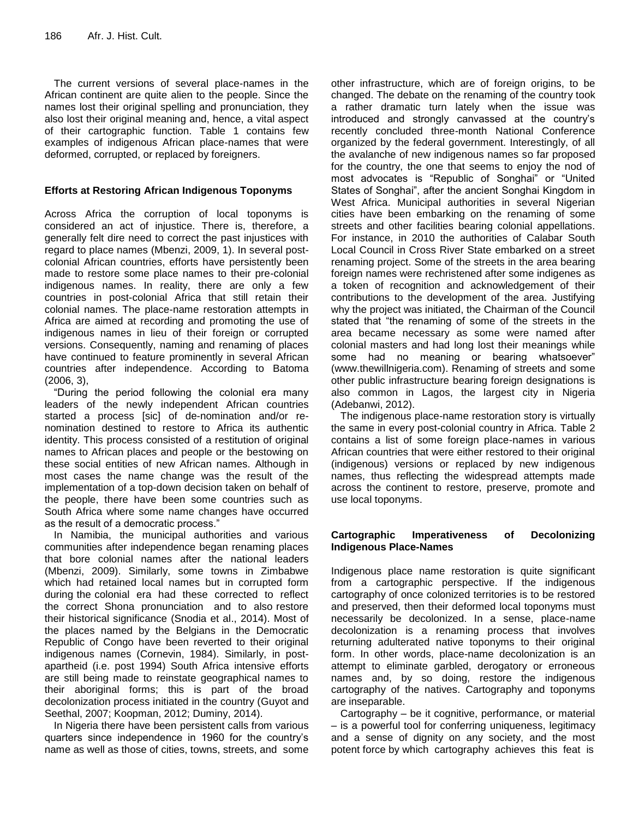The current versions of several place-names in the African continent are quite alien to the people. Since the names lost their original spelling and pronunciation, they also lost their original meaning and, hence, a vital aspect of their cartographic function. Table 1 contains few examples of indigenous African place-names that were deformed, corrupted, or replaced by foreigners.

#### **Efforts at Restoring African Indigenous Toponyms**

Across Africa the corruption of local toponyms is considered an act of injustice. There is, therefore, a generally felt dire need to correct the past injustices with regard to place names (Mbenzi, 2009, 1). In several postcolonial African countries, efforts have persistently been made to restore some place names to their pre-colonial indigenous names. In reality, there are only a few countries in post-colonial Africa that still retain their colonial names. The place-name restoration attempts in Africa are aimed at recording and promoting the use of indigenous names in lieu of their foreign or corrupted versions. Consequently, naming and renaming of places have continued to feature prominently in several African countries after independence. According to Batoma (2006, 3),

"During the period following the colonial era many leaders of the newly independent African countries started a process [sic] of de-nomination and/or renomination destined to restore to Africa its authentic identity. This process consisted of a restitution of original names to African places and people or the bestowing on these social entities of new African names. Although in most cases the name change was the result of the implementation of a top-down decision taken on behalf of the people, there have been some countries such as South Africa where some name changes have occurred as the result of a democratic process."

In Namibia, the municipal authorities and various communities after independence began renaming places that bore colonial names after the national leaders (Mbenzi, 2009). Similarly, some towns in Zimbabwe which had retained local names but in corrupted form during the colonial era had these corrected to reflect the correct Shona pronunciation and to also restore their historical significance (Snodia et al., 2014). Most of the places named by the Belgians in the Democratic Republic of Congo have been reverted to their original indigenous names (Cornevin, 1984). Similarly, in postapartheid (i.e. post 1994) South Africa intensive efforts are still being made to reinstate geographical names to their aboriginal forms; this is part of the broad decolonization process initiated in the country (Guyot and Seethal, 2007; Koopman, 2012; Duminy, 2014).

In Nigeria there have been persistent calls from various quarters since independence in 1960 for the country"s name as well as those of cities, towns, streets, and some other infrastructure, which are of foreign origins, to be changed. The debate on the renaming of the country took a rather dramatic turn lately when the issue was introduced and strongly canvassed at the country"s recently concluded three-month National Conference organized by the federal government. Interestingly, of all the avalanche of new indigenous names so far proposed for the country, the one that seems to enjoy the nod of most advocates is "Republic of Songhai" or "United States of Songhai", after the ancient Songhai Kingdom in West Africa. Municipal authorities in several Nigerian cities have been embarking on the renaming of some streets and other facilities bearing colonial appellations. For instance, in 2010 the authorities of Calabar South Local Council in Cross River State embarked on a street renaming project. Some of the streets in the area bearing foreign names were rechristened after some indigenes as a token of recognition and acknowledgement of their contributions to the development of the area. Justifying why the project was initiated, the Chairman of the Council stated that "the renaming of some of the streets in the area became necessary as some were named after colonial masters and had long lost their meanings while some had no meaning or bearing whatsoever" (www.thewillnigeria.com). Renaming of streets and some other public infrastructure bearing foreign designations is also common in Lagos, the largest city in Nigeria (Adebanwi, 2012).

The indigenous place-name restoration story is virtually the same in every post-colonial country in Africa. Table 2 contains a list of some foreign place-names in various African countries that were either restored to their original (indigenous) versions or replaced by new indigenous names, thus reflecting the widespread attempts made across the continent to restore, preserve, promote and use local toponyms.

## **Cartographic Imperativeness of Decolonizing Indigenous Place-Names**

Indigenous place name restoration is quite significant from a cartographic perspective. If the indigenous cartography of once colonized territories is to be restored and preserved, then their deformed local toponyms must necessarily be decolonized. In a sense, place-name decolonization is a renaming process that involves returning adulterated native toponyms to their original form. In other words, place-name decolonization is an attempt to eliminate garbled, derogatory or erroneous names and, by so doing, restore the indigenous cartography of the natives. Cartography and toponyms are inseparable.

Cartography – be it cognitive, performance, or material – is a powerful tool for conferring uniqueness, legitimacy and a sense of dignity on any society, and the most potent force by which cartography achieves this feat is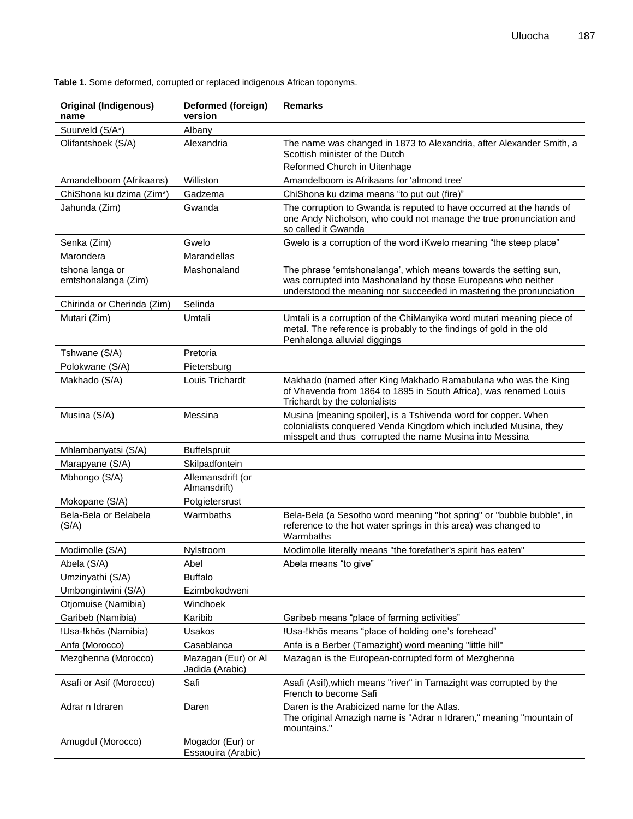| <b>Original (Indigenous)</b><br>name   | Deformed (foreign)<br>version          | <b>Remarks</b>                                                                                                                                                                                           |
|----------------------------------------|----------------------------------------|----------------------------------------------------------------------------------------------------------------------------------------------------------------------------------------------------------|
| Suurveld (S/A*)                        | Albany                                 |                                                                                                                                                                                                          |
| Olifantshoek (S/A)                     | Alexandria                             | The name was changed in 1873 to Alexandria, after Alexander Smith, a<br>Scottish minister of the Dutch                                                                                                   |
|                                        |                                        | Reformed Church in Uitenhage                                                                                                                                                                             |
| Amandelboom (Afrikaans)                | Williston                              | Amandelboom is Afrikaans for 'almond tree'                                                                                                                                                               |
| ChiShona ku dzima (Zim*)               | Gadzema                                | ChiShona ku dzima means "to put out (fire)"                                                                                                                                                              |
| Jahunda (Zim)                          | Gwanda                                 | The corruption to Gwanda is reputed to have occurred at the hands of<br>one Andy Nicholson, who could not manage the true pronunciation and<br>so called it Gwanda                                       |
| Senka (Zim)                            | Gwelo                                  | Gwelo is a corruption of the word iKwelo meaning "the steep place"                                                                                                                                       |
| Marondera                              | Marandellas                            |                                                                                                                                                                                                          |
| tshona langa or<br>emtshonalanga (Zim) | Mashonaland                            | The phrase 'emtshonalanga', which means towards the setting sun,<br>was corrupted into Mashonaland by those Europeans who neither<br>understood the meaning nor succeeded in mastering the pronunciation |
| Chirinda or Cherinda (Zim)             | Selinda                                |                                                                                                                                                                                                          |
| Mutari (Zim)                           | Umtali                                 | Umtali is a corruption of the ChiManyika word mutari meaning piece of<br>metal. The reference is probably to the findings of gold in the old<br>Penhalonga alluvial diggings                             |
| Tshwane (S/A)                          | Pretoria                               |                                                                                                                                                                                                          |
| Polokwane (S/A)                        | Pietersburg                            |                                                                                                                                                                                                          |
| Makhado (S/A)                          | Louis Trichardt                        | Makhado (named after King Makhado Ramabulana who was the King<br>of Vhavenda from 1864 to 1895 in South Africa), was renamed Louis<br>Trichardt by the colonialists                                      |
| Musina (S/A)                           | Messina                                | Musina [meaning spoiler], is a Tshivenda word for copper. When<br>colonialists conquered Venda Kingdom which included Musina, they<br>misspelt and thus corrupted the name Musina into Messina           |
| Mhlambanyatsi (S/A)                    | <b>Buffelspruit</b>                    |                                                                                                                                                                                                          |
| Marapyane (S/A)                        | Skilpadfontein                         |                                                                                                                                                                                                          |
| Mbhongo (S/A)                          | Allemansdrift (or<br>Almansdrift)      |                                                                                                                                                                                                          |
| Mokopane (S/A)                         | Potgietersrust                         |                                                                                                                                                                                                          |
| Bela-Bela or Belabela<br>(S/A)         | Warmbaths                              | Bela-Bela (a Sesotho word meaning "hot spring" or "bubble bubble", in<br>reference to the hot water springs in this area) was changed to<br>Warmbaths                                                    |
| Modimolle (S/A)                        | Nylstroom                              | Modimolle literally means "the forefather's spirit has eaten"                                                                                                                                            |
| Abela (S/A)                            | Abel                                   | Abela means "to give"                                                                                                                                                                                    |
| Umzinyathi (S/A)                       | <b>Buffalo</b>                         |                                                                                                                                                                                                          |
| Umbongintwini (S/A)                    | Ezimbokodweni                          |                                                                                                                                                                                                          |
| Otjomuise (Namibia)                    | Windhoek                               |                                                                                                                                                                                                          |
| Garibeb (Namibia)                      | Karibib                                | Garibeb means "place of farming activities"                                                                                                                                                              |
| !Usa-!khōs (Namibia)                   | Usakos                                 | !Usa-!khōs means "place of holding one's forehead"                                                                                                                                                       |
| Anfa (Morocco)                         | Casablanca                             | Anfa is a Berber (Tamazight) word meaning "little hill"                                                                                                                                                  |
| Mezghenna (Morocco)                    | Mazagan (Eur) or Al<br>Jadida (Arabic) | Mazagan is the European-corrupted form of Mezghenna                                                                                                                                                      |
| Asafi or Asif (Morocco)                | Safi                                   | Asafi (Asif), which means "river" in Tamazight was corrupted by the<br>French to become Safi                                                                                                             |
| Adrar n Idraren                        | Daren                                  | Daren is the Arabicized name for the Atlas.<br>The original Amazigh name is "Adrar n Idraren," meaning "mountain of<br>mountains."                                                                       |
| Amugdul (Morocco)                      | Mogador (Eur) or<br>Essaouira (Arabic) |                                                                                                                                                                                                          |

**Table 1.** Some deformed, corrupted or replaced indigenous African toponyms.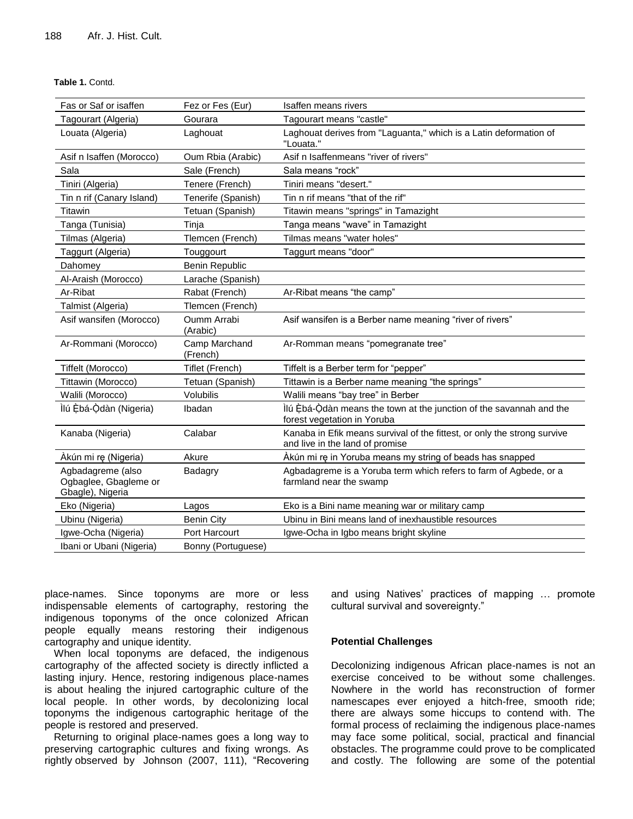#### **Table 1.** Contd.

| Fas or Saf or isaffen                                          | Fez or Fes (Eur)          | Isaffen means rivers                                                                                        |
|----------------------------------------------------------------|---------------------------|-------------------------------------------------------------------------------------------------------------|
| Tagourart (Algeria)                                            | Gourara                   | Tagourart means "castle"                                                                                    |
| Louata (Algeria)                                               | Laghouat                  | Laghouat derives from "Laguanta," which is a Latin deformation of<br>"Louata."                              |
| Asif n Isaffen (Morocco)                                       | Oum Rbia (Arabic)         | Asif n Isaffenmeans "river of rivers"                                                                       |
| Sala                                                           | Sale (French)             | Sala means "rock"                                                                                           |
| Tiniri (Algeria)                                               | Tenere (French)           | Tiniri means "desert."                                                                                      |
| Tin n rif (Canary Island)                                      | Tenerife (Spanish)        | Tin n rif means "that of the rif"                                                                           |
| <b>Titawin</b>                                                 | Tetuan (Spanish)          | Titawin means "springs" in Tamazight                                                                        |
| Tanga (Tunisia)                                                | Tinja                     | Tanga means "wave" in Tamazight                                                                             |
| Tilmas (Algeria)                                               | Tlemcen (French)          | Tilmas means "water holes"                                                                                  |
| Taggurt (Algeria)                                              | Touggourt                 | Taggurt means "door"                                                                                        |
| Dahomey                                                        | <b>Benin Republic</b>     |                                                                                                             |
| Al-Araish (Morocco)                                            | Larache (Spanish)         |                                                                                                             |
| Ar-Ribat                                                       | Rabat (French)            | Ar-Ribat means "the camp"                                                                                   |
| Talmist (Algeria)                                              | Tlemcen (French)          |                                                                                                             |
| Asif wansifen (Morocco)                                        | Oumm Arrabi<br>(Arabic)   | Asif wansifen is a Berber name meaning "river of rivers"                                                    |
| Ar-Rommani (Morocco)                                           | Camp Marchand<br>(French) | Ar-Romman means "pomegranate tree"                                                                          |
| Tiffelt (Morocco)                                              | Tiflet (French)           | Tiffelt is a Berber term for "pepper"                                                                       |
| Tittawin (Morocco)                                             | Tetuan (Spanish)          | Tittawin is a Berber name meaning "the springs"                                                             |
| Walili (Morocco)                                               | <b>Volubilis</b>          | Walili means "bay tree" in Berber                                                                           |
| Ìlú Èbá-Òdàn (Nigeria)                                         | Ibadan                    | Ìlú Èbá-Òdàn means the town at the junction of the savannah and the<br>forest vegetation in Yoruba          |
| Kanaba (Nigeria)                                               | Calabar                   | Kanaba in Efik means survival of the fittest, or only the strong survive<br>and live in the land of promise |
| Àkún mi re (Nigeria)                                           | Akure                     | Akún mi re in Yoruba means my string of beads has snapped                                                   |
| Agbadagreme (also<br>Ogbaglee, Gbagleme or<br>Gbagle), Nigeria | Badagry                   | Agbadagreme is a Yoruba term which refers to farm of Agbede, or a<br>farmland near the swamp                |
| Eko (Nigeria)                                                  | Lagos                     | Eko is a Bini name meaning war or military camp                                                             |
| Ubinu (Nigeria)                                                | <b>Benin City</b>         | Ubinu in Bini means land of inexhaustible resources                                                         |
| Igwe-Ocha (Nigeria)                                            | Port Harcourt             | Igwe-Ocha in Igbo means bright skyline                                                                      |
| Ibani or Ubani (Nigeria)                                       | Bonny (Portuguese)        |                                                                                                             |

place-names. Since toponyms are more or less indispensable elements of cartography, restoring the indigenous toponyms of the once colonized African people equally means restoring their indigenous cartography and unique identity.

When local toponyms are defaced, the indigenous cartography of the affected society is directly inflicted a lasting injury. Hence, restoring indigenous place-names is about healing the injured cartographic culture of the local people. In other words, by decolonizing local toponyms the indigenous cartographic heritage of the people is restored and preserved.

Returning to original place-names goes a long way to preserving cartographic cultures and fixing wrongs. As rightly observed by Johnson (2007, 111), "Recovering

and using Natives" practices of mapping … promote cultural survival and sovereignty."

#### **Potential Challenges**

Decolonizing indigenous African place-names is not an exercise conceived to be without some challenges. Nowhere in the world has reconstruction of former namescapes ever enjoyed a hitch-free, smooth ride; there are always some hiccups to contend with. The formal process of reclaiming the indigenous place-names may face some political, social, practical and financial obstacles. The programme could prove to be complicated and costly. The following are some of the potential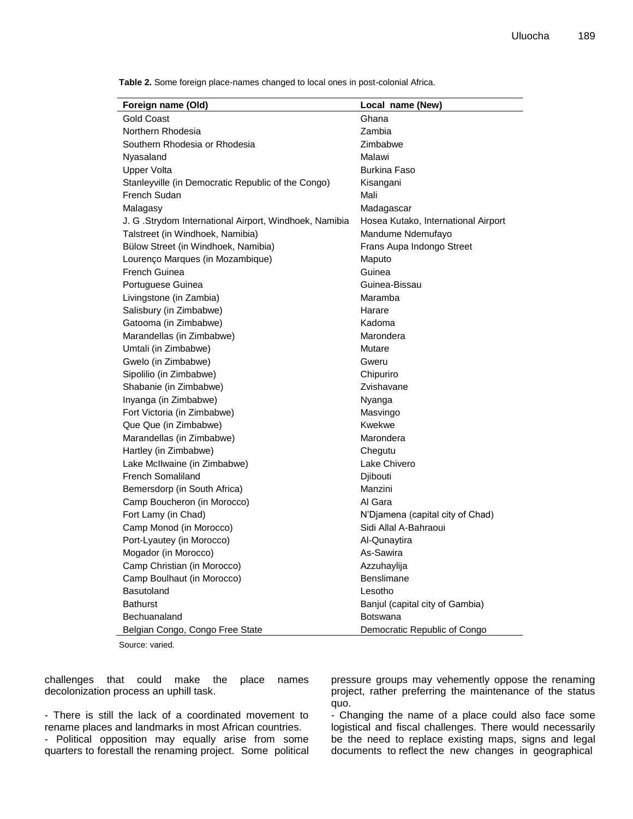**Foreign name (Old) Local name (New)** Gold Coast **Grana** Ghana Northern Rhodesia **Northern Rhodesia** 2ambia Southern Rhodesia or Rhodesia Zimbabwe Nyasaland Malawi and Malawi and Malawi and Malawi and Malawi and Malawi and Malawi and Malawi and Malawi and M Upper Volta **Burkina Faso** Stanleyville (in Democratic Republic of the Congo) Kisangani French Sudan Mali Number of The Mali Number of The Mali Number of The Mali Number of The Mali Number of The Ma Malagasy **Malagascar** Madagascar J. G .Strydom International Airport, Windhoek, Namibia Hosea Kutako, International Airport Talstreet (in Windhoek, Namibia) Mandume Ndemufayo Bülow Street (in Windhoek, Namibia) Frans Aupa Indongo Street Lourenco Marques (in Mozambique) Maputo French Guinea **Guinea** Guinea Portuguese Guinea Communication Communication Cuinea-Bissau Livingstone (in Zambia) Maramba Salisbury (in Zimbabwe) **Harare** Harare Gatooma (in Zimbabwe) **Kadoma** Marandellas (in Zimbabwe) Marondera Umtali (in Zimbabwe) Mutare Gwelo (in Zimbabwe) Gweru Sipolilio (in Zimbabwe) Chipuriro Shabanie (in Zimbabwe) **Zimbabwe** Zvishavane Inyanga (in Zimbabwe) Nyanga Fort Victoria (in Zimbabwe) Masvingo Que Que (in Zimbabwe) and the Controller Controller Kwekwe Marandellas (in Zimbabwe) Marondera Hartley (in Zimbabwe) **Chegutu** 

Fort Lamy (in Chad) The Changes of Chad N'Djamena (capital city of Chad)

Bathurst Bathurst Banjul (capital city of Gambia)

Belgian Congo, Congo Free State **Democratic Republic of Congo** 

Camp Monod (in Morocco) Sidi Allal A-Bahraoui

Lake McIlwaine (in Zimbabwe) Lake Chivero French Somaliland Diibouti Bemersdorp (in South Africa) Manzini Camp Boucheron (in Morocco) and Al Gara

Port-Lyautey (in Morocco) and a series of Al-Qunaytira Mogador (in Morocco) and a series are a series and a series and a series and a series and a series and a series and a series and a series and a series and a series and a series and a series and a series and a series and a Camp Christian (in Morocco) and a controlled a Azzuhaylija Camp Boulhaut (in Morocco) Benslimane Basutoland **Lesotho** 

Bechuanaland Botswana

**Table 2.** Some foreign place-names changed to local ones in post-colonial Africa.

Source: varied.

challenges that could make the place names decolonization process an uphill task.

- There is still the lack of a coordinated movement to rename places and landmarks in most African countries.

- Political opposition may equally arise from some quarters to forestall the renaming project. Some political

pressure groups may vehemently oppose the renaming project, rather preferring the maintenance of the status quo.

- Changing the name of a place could also face some logistical and fiscal challenges. There would necessarily be the need to replace existing maps, signs and legal documents to reflect the new changes in geographical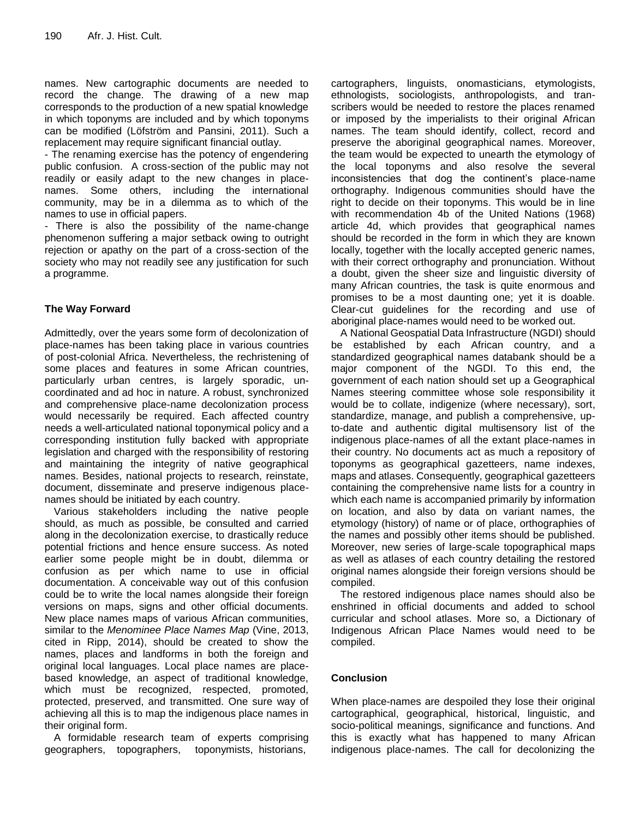names. New cartographic documents are needed to record the change. The drawing of a new map corresponds to the production of a new spatial knowledge in which toponyms are included and by which toponyms can be modified (Löfström and Pansini, 2011). Such a replacement may require significant financial outlay.

- The renaming exercise has the potency of engendering public confusion. A cross-section of the public may not readily or easily adapt to the new changes in placenames. Some others, including the international community, may be in a dilemma as to which of the names to use in official papers.

- There is also the possibility of the name-change phenomenon suffering a major setback owing to outright rejection or apathy on the part of a cross-section of the society who may not readily see any justification for such a programme.

## **The Way Forward**

Admittedly, over the years some form of decolonization of place-names has been taking place in various countries of post-colonial Africa. Nevertheless, the rechristening of some places and features in some African countries, particularly urban centres, is largely sporadic, uncoordinated and ad hoc in nature. A robust, synchronized and comprehensive place-name decolonization process would necessarily be required. Each affected country needs a well-articulated national toponymical policy and a corresponding institution fully backed with appropriate legislation and charged with the responsibility of restoring and maintaining the integrity of native geographical names. Besides, national projects to research, reinstate, document, disseminate and preserve indigenous placenames should be initiated by each country.

Various stakeholders including the native people should, as much as possible, be consulted and carried along in the decolonization exercise, to drastically reduce potential frictions and hence ensure success. As noted earlier some people might be in doubt, dilemma or confusion as per which name to use in official documentation. A conceivable way out of this confusion could be to write the local names alongside their foreign versions on maps, signs and other official documents. New place names maps of various African communities, similar to the *Menominee Place Names Map* (Vine, 2013, cited in Ripp, 2014), should be created to show the names, places and landforms in both the foreign and original local languages. Local place names are placebased knowledge, an aspect of traditional knowledge, which must be recognized, respected, promoted, protected, preserved, and transmitted. One sure way of achieving all this is to map the indigenous place names in their original form.

A formidable research team of experts comprising geographers, topographers, toponymists, historians,

cartographers, linguists, onomasticians, etymologists, ethnologists, sociologists, anthropologists, and transcribers would be needed to restore the places renamed or imposed by the imperialists to their original African names. The team should identify, collect, record and preserve the aboriginal geographical names. Moreover, the team would be expected to unearth the etymology of the local toponyms and also resolve the several inconsistencies that dog the continent"s place-name orthography. Indigenous communities should have the right to decide on their toponyms. This would be in line with recommendation 4b of the United Nations (1968) article 4d, which provides that geographical names should be recorded in the form in which they are known locally, together with the locally accepted generic names, with their correct orthography and pronunciation. Without a doubt, given the sheer size and linguistic diversity of many African countries, the task is quite enormous and promises to be a most daunting one; yet it is doable. Clear-cut guidelines for the recording and use of aboriginal place-names would need to be worked out.

A National Geospatial Data Infrastructure (NGDI) should be established by each African country, and a standardized geographical names databank should be a major component of the NGDI. To this end, the government of each nation should set up a Geographical Names steering committee whose sole responsibility it would be to collate, indigenize (where necessary), sort, standardize, manage, and publish a comprehensive, upto-date and authentic digital multisensory list of the indigenous place-names of all the extant place-names in their country. No documents act as much a repository of toponyms as geographical gazetteers, name indexes, maps and atlases. Consequently, geographical gazetteers containing the comprehensive name lists for a country in which each name is accompanied primarily by information on location, and also by data on variant names, the etymology (history) of name or of place, orthographies of the names and possibly other items should be published. Moreover, new series of large-scale topographical maps as well as atlases of each country detailing the restored original names alongside their foreign versions should be compiled.

The restored indigenous place names should also be enshrined in official documents and added to school curricular and school atlases. More so, a Dictionary of Indigenous African Place Names would need to be compiled.

#### **Conclusion**

When place-names are despoiled they lose their original cartographical, geographical, historical, linguistic, and socio-political meanings, significance and functions. And this is exactly what has happened to many African indigenous place-names. The call for decolonizing the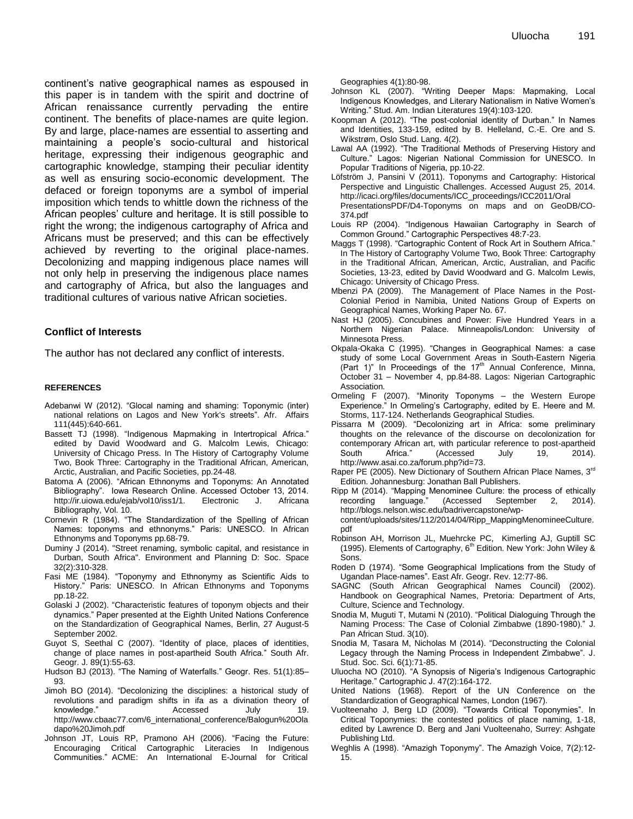continent"s native geographical names as espoused in this paper is in tandem with the spirit and doctrine of African renaissance currently pervading the entire continent. The benefits of place-names are quite legion. By and large, place-names are essential to asserting and maintaining a people"s socio-cultural and historical heritage, expressing their indigenous geographic and cartographic knowledge, stamping their peculiar identity as well as ensuring socio-economic development. The defaced or foreign toponyms are a symbol of imperial imposition which tends to whittle down the richness of the African peoples" culture and heritage. It is still possible to right the wrong; the indigenous cartography of Africa and Africans must be preserved; and this can be effectively achieved by reverting to the original place-names. Decolonizing and mapping indigenous place names will not only help in preserving the indigenous place names and cartography of Africa, but also the languages and traditional cultures of various native African societies.

#### **Conflict of Interests**

The author has not declared any conflict of interests.

#### **REFERENCES**

- Adebanwi W (2012). "Glocal naming and shaming: Toponymic (inter) national relations on Lagos and New York's streets". Afr. Affairs 111(445):640-661.
- Bassett TJ (1998). "Indigenous Mapmaking in Intertropical Africa." edited by David Woodward and G. Malcolm Lewis, Chicago: University of Chicago Press. In The History of Cartography Volume Two, Book Three: Cartography in the Traditional African, American, Arctic, Australian, and Pacific Societies, pp.24-48.
- Batoma A (2006). "African Ethnonyms and Toponyms: An Annotated Bibliography". Iowa Research Online. Accessed October 13, 2014. http://ir.uiowa.edu/ejab/vol10/iss1/1. Electronic J. Africana Bibliography, Vol. 10.
- Cornevin R (1984). "The Standardization of the Spelling of African Names: toponyms and ethnonyms." Paris: UNESCO. In African Ethnonyms and Toponyms pp.68-79.
- Duminy J (2014). "Street renaming, symbolic capital, and resistance in Durban, South Africa". Environment and Planning D: Soc. Space 32(2):310-328.
- Fasi ME (1984). "Toponymy and Ethnonymy as Scientific Aids to History." Paris: UNESCO. In African Ethnonyms and Toponyms pp.18-22.
- Golaski J (2002). "Characteristic features of toponym objects and their dynamics." Paper presented at the Eighth United Nations Conference on the Standardization of Geographical Names, Berlin, 27 August-5 September 2002.
- Guyot S, Seethal C (2007). "Identity of place, places of identities, change of place names in post-apartheid South Africa." South Afr. Geogr. J. 89(1):55-63.
- Hudson BJ (2013). "The Naming of Waterfalls." Geogr. Res. 51(1):85– 93.
- Jimoh BO (2014). "Decolonizing the disciplines: a historical study of revolutions and paradigm shifts in ifa as a divination theory of knowledge." Accessed July 19. http://www.cbaac77.com/6\_international\_conference/Balogun%20Ola dapo%20Jimoh.pdf
- Johnson JT, Louis RP, Pramono AH (2006). "Facing the Future: Encouraging Critical Cartographic Literacies In Indigenous Communities." ACME: An International E-Journal for Critical

Geographies 4(1):80-98.

- Johnson KL (2007). "Writing Deeper Maps: Mapmaking, Local Indigenous Knowledges, and Literary Nationalism in Native Women"s Writing." Stud. Am. Indian Literatures 19(4):103-120.
- Koopman A (2012). "The post-colonial identity of Durban." In Names and Identities, 133-159, edited by B. Helleland, C.-E. Ore and S. Wikstrøm, Oslo Stud. Lang. 4(2).
- Lawal AA (1992). "The Traditional Methods of Preserving History and Culture." Lagos: Nigerian National Commission for UNESCO. In Popular Traditions of Nigeria, pp.10-22.
- Löfström J, Pansini V (2011). Toponyms and Cartography: Historical Perspective and Linguistic Challenges. Accessed August 25, 2014. http://icaci.org/files/documents/ICC\_proceedings/ICC2011/Oral PresentationsPDF/D4-Toponyms on maps and on GeoDB/CO-374.pdf
- Louis RP (2004). "Indigenous Hawaiian Cartography in Search of Common Ground." Cartographic Perspectives 48:7-23.
- Maggs T (1998). "Cartographic Content of Rock Art in Southern Africa." In The History of Cartography Volume Two, Book Three: Cartography in the Traditional African, American, Arctic, Australian, and Pacific Societies, 13-23, edited by David Woodward and G. Malcolm Lewis, Chicago: University of Chicago Press.
- Mbenzi PA (2009). The Management of Place Names in the Post-Colonial Period in Namibia, United Nations Group of Experts on Geographical Names, Working Paper No. 67.
- Nast HJ (2005). Concubines and Power: Five Hundred Years in a Northern Nigerian Palace. Minneapolis/London: University of Minnesota Press.
- Okpala-Okaka C (1995). "Changes in Geographical Names: a case study of some Local Government Areas in South-Eastern Nigeria (Part 1)" In Proceedings of the  $17<sup>th</sup>$  Annual Conference, Minna, October 31 – November 4, pp.84-88. Lagos: Nigerian Cartographic Association.
- Ormeling F (2007). "Minority Toponyms the Western Europe Experience." In Ormeling"s Cartography, edited by E. Heere and M. Storms, 117-124. Netherlands Geographical Studies.
- Pissarra M (2009). "Decolonizing art in Africa: some preliminary thoughts on the relevance of the discourse on decolonization for contemporary African art, with particular reference to post-apartheid South Africa." (Accessed July 19, 2014). http://www.asai.co.za/forum.php?id=73.
- Raper PE (2005). New Dictionary of Southern African Place Names, 3<sup>rd</sup> Edition. Johannesburg: Jonathan Ball Publishers.
- Ripp M (2014). "Mapping Menominee Culture: the process of ethically recording language." (Accessed September 2, 2014). http://blogs.nelson.wisc.edu/badrivercapstone/wpcontent/uploads/sites/112/2014/04/Ripp\_MappingMenomineeCulture. pdf
- Robinson AH, Morrison JL, Muehrcke PC, Kimerling AJ, Guptill SC (1995). Elements of Cartography,  $6<sup>th</sup>$  Edition. New York: John Wiley & Sons.
- Roden D (1974). "Some Geographical Implications from the Study of Ugandan Place-names". East Afr. Geogr. Rev. 12:77-86.
- SAGNC (South African Geographical Names Council) (2002). Handbook on Geographical Names, Pretoria: Department of Arts, Culture, Science and Technology.
- Snodia M, Muguti T, Mutami N (2010). "Political Dialoguing Through the Naming Process: The Case of Colonial Zimbabwe (1890-1980)." J. Pan African Stud. 3(10).
- Snodia M, Tasara M, Nicholas M (2014). "Deconstructing the Colonial Legacy through the Naming Process in Independent Zimbabwe". J. Stud. Soc. Sci. 6(1):71-85.
- Uluocha NO (2010). "A Synopsis of Nigeria"s Indigenous Cartographic Heritage." Cartographic J. 47(2):164-172.
- United Nations (1968). Report of the UN Conference on the Standardization of Geographical Names, London (1967).
- Vuolteenaho J, Berg LD (2009). "Towards Critical Toponymies". In Critical Toponymies: the contested politics of place naming, 1-18, edited by Lawrence D. Berg and Jani Vuolteenaho, Surrey: Ashgate Publishing Ltd.
- Weghlis A (1998). "Amazigh Toponymy". The Amazigh Voice, 7(2):12- 15.